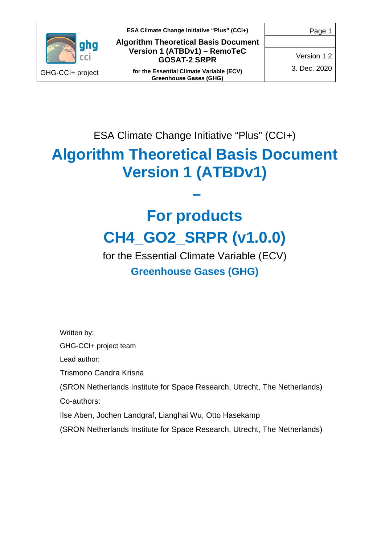

**ESA Climate Change Initiative "Plus" (CCI+) Algorithm Theoretical Basis Document Version 1 (ATBDv1) – RemoTeC GOSAT-2 SRPR**

**for the Essential Climate Variable (ECV) Greenhouse Gases (GHG)**

Version 1.2

3. Dec. 2020

ESA Climate Change Initiative "Plus" (CCI+)

# **Algorithm Theoretical Basis Document Version 1 (ATBDv1)**

**–**

# **For products CH4\_GO2\_SRPR (v1.0.0)**

for the Essential Climate Variable (ECV) **Greenhouse Gases (GHG)**

Written by:

GHG-CCI+ project team

Lead author:

Trismono Candra Krisna

(SRON Netherlands Institute for Space Research, Utrecht, The Netherlands)

Co-authors:

Ilse Aben, Jochen Landgraf, Lianghai Wu, Otto Hasekamp

(SRON Netherlands Institute for Space Research, Utrecht, The Netherlands)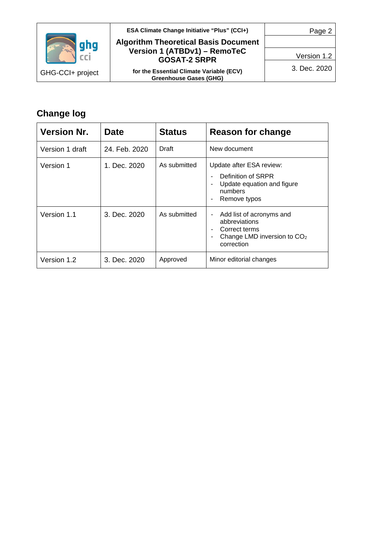

#### **ESA Climate Change Initiative "Plus" (CCI+)**

#### **Algorithm Theoretical Basis Document Version 1 (ATBDv1) – RemoTeC GOSAT-2 SRPR**

**for the Essential Climate Variable (ECV) Greenhouse Gases (GHG)**

Page 2

Version 1.2

3. Dec. 2020

# **Change log**

| <b>Version Nr.</b> | <b>Date</b>   | <b>Status</b> | Reason for change                                                                                                        |
|--------------------|---------------|---------------|--------------------------------------------------------------------------------------------------------------------------|
| Version 1 draft    | 24. Feb. 2020 | Draft         | New document                                                                                                             |
| Version 1          | 1. Dec. 2020  | As submitted  | Update after ESA review:<br>Definition of SRPR<br>Update equation and figure<br>numbers<br>Remove typos                  |
| Version 1.1        | 3. Dec. 2020  | As submitted  | Add list of acronyms and<br>۰<br>abbreviations<br>Correct terms<br>Change LMD inversion to CO <sub>2</sub><br>correction |
| Version 1.2        | 3. Dec. 2020  | Approved      | Minor editorial changes                                                                                                  |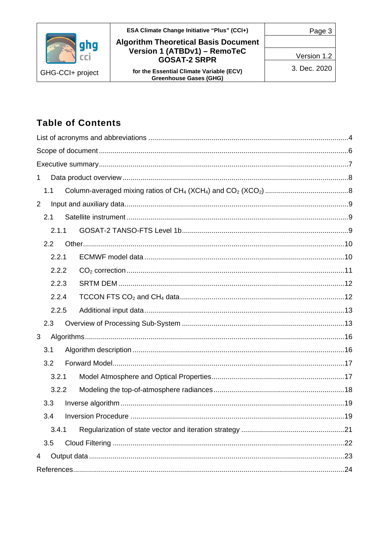|                  | <b>ESA Climate Change Initiative "Plus" (CCI+)</b>                        |              |
|------------------|---------------------------------------------------------------------------|--------------|
|                  | <b>Algorithm Theoretical Basis Document</b>                               |              |
|                  | Version 1 (ATBDv1) - RemoTeC<br><b>GOSAT-2 SRPR</b>                       | Version 1.2  |
| GHG-CCI+ project | for the Essential Climate Variable (ECV)<br><b>Greenhouse Gases (GHG)</b> | 3. Dec. 2020 |

# **Table of Contents**

| 1              |  |
|----------------|--|
| 1.1            |  |
| $\overline{2}$ |  |
| 2.1            |  |
| 2.1.1          |  |
| 2.2            |  |
| 2.2.1          |  |
| 2.2.2          |  |
| 2.2.3          |  |
| 2.2.4          |  |
| 2.2.5          |  |
| 2.3            |  |
| 3              |  |
| 3.1            |  |
| 3.2            |  |
| 3.2.1          |  |
| 3.2.2          |  |
| 3.3            |  |
| 3.4            |  |
| 3.4.1          |  |
| 3.5            |  |
| 4              |  |
|                |  |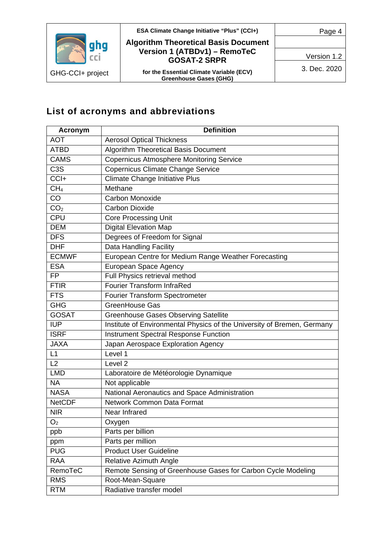



## **ESA Climate Change Initiative "Plus" (CCI+) Algorithm Theoretical Basis Document Version 1 (ATBDv1) – RemoTeC GOSAT-2 SRPR**

**for the Essential Climate Variable (ECV) Greenhouse Gases (GHG)**

Version 1.2

3. Dec. 2020

# <span id="page-3-0"></span>**List of acronyms and abbreviations**

| <b>Acronym</b>   | <b>Definition</b>                                                       |
|------------------|-------------------------------------------------------------------------|
| <b>AOT</b>       | <b>Aerosol Optical Thickness</b>                                        |
| <b>ATBD</b>      | <b>Algorithm Theoretical Basis Document</b>                             |
| <b>CAMS</b>      | <b>Copernicus Atmosphere Monitoring Service</b>                         |
| C <sub>3</sub> S | <b>Copernicus Climate Change Service</b>                                |
| CCI+             | <b>Climate Change Initiative Plus</b>                                   |
| CH <sub>4</sub>  | Methane                                                                 |
| CO               | <b>Carbon Monoxide</b>                                                  |
| CO <sub>2</sub>  | <b>Carbon Dioxide</b>                                                   |
| <b>CPU</b>       | <b>Core Processing Unit</b>                                             |
| <b>DEM</b>       | <b>Digital Elevation Map</b>                                            |
| <b>DFS</b>       | Degrees of Freedom for Signal                                           |
| <b>DHF</b>       | Data Handling Facility                                                  |
| <b>ECMWF</b>     | European Centre for Medium Range Weather Forecasting                    |
| <b>ESA</b>       | European Space Agency                                                   |
| <b>FP</b>        | Full Physics retrieval method                                           |
| <b>FTIR</b>      | <b>Fourier Transform InfraRed</b>                                       |
| <b>FTS</b>       | Fourier Transform Spectrometer                                          |
| <b>GHG</b>       | <b>GreenHouse Gas</b>                                                   |
| <b>GOSAT</b>     | <b>Greenhouse Gases Observing Satellite</b>                             |
| <b>IUP</b>       | Institute of Environmental Physics of the University of Bremen, Germany |
| <b>ISRF</b>      | <b>Instrument Spectral Response Function</b>                            |
| <b>JAXA</b>      | Japan Aerospace Exploration Agency                                      |
| L1               | Level 1                                                                 |
| L2               | Level <sub>2</sub>                                                      |
| <b>LMD</b>       | Laboratoire de Météorologie Dynamique                                   |
| <b>NA</b>        | Not applicable                                                          |
| <b>NASA</b>      | National Aeronautics and Space Administration                           |
| <b>NetCDF</b>    | Network Common Data Format                                              |
| <b>NIR</b>       | Near Infrared                                                           |
| O <sub>2</sub>   | Oxygen                                                                  |
| ppb              | Parts per billion                                                       |
| ppm              | Parts per million                                                       |
| <b>PUG</b>       | <b>Product User Guideline</b>                                           |
| <b>RAA</b>       | <b>Relative Azimuth Angle</b>                                           |
| RemoTeC          | Remote Sensing of Greenhouse Gases for Carbon Cycle Modeling            |
| <b>RMS</b>       | Root-Mean-Square                                                        |
| <b>RTM</b>       | Radiative transfer model                                                |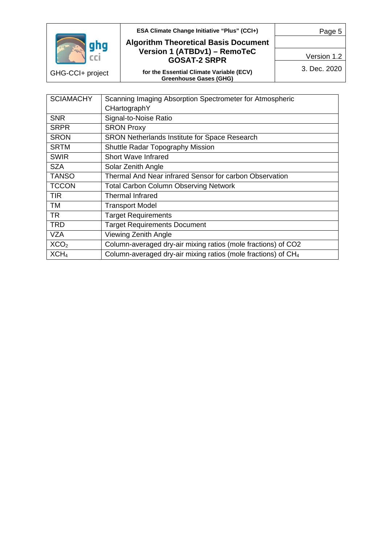

GHG-CCI+ project

#### **ESA Climate Change Initiative "Plus" (CCI+)**

Page 5

#### **Algorithm Theoretical Basis Document Version 1 (ATBDv1) – RemoTeC GOSAT-2 SRPR**

**for the Essential Climate Variable (ECV) Greenhouse Gases (GHG)**

3. Dec. 2020

Version 1.2

| <b>SCIAMACHY</b> | Scanning Imaging Absorption Spectrometer for Atmospheric                  |  |
|------------------|---------------------------------------------------------------------------|--|
|                  | CHartographY                                                              |  |
| <b>SNR</b>       | Signal-to-Noise Ratio                                                     |  |
| <b>SRPR</b>      | <b>SRON Proxy</b>                                                         |  |
| <b>SRON</b>      | <b>SRON Netherlands Institute for Space Research</b>                      |  |
| <b>SRTM</b>      | <b>Shuttle Radar Topography Mission</b>                                   |  |
| <b>SWIR</b>      | <b>Short Wave Infrared</b>                                                |  |
| <b>SZA</b>       | Solar Zenith Angle                                                        |  |
| <b>TANSO</b>     | Thermal And Near infrared Sensor for carbon Observation                   |  |
| <b>TCCON</b>     | <b>Total Carbon Column Observing Network</b>                              |  |
| TIR              | <b>Thermal Infrared</b>                                                   |  |
| TM               | <b>Transport Model</b>                                                    |  |
| <b>TR</b>        | <b>Target Requirements</b>                                                |  |
| <b>TRD</b>       | <b>Target Requirements Document</b>                                       |  |
| <b>VZA</b>       | Viewing Zenith Angle                                                      |  |
| XCO <sub>2</sub> | Column-averaged dry-air mixing ratios (mole fractions) of CO2             |  |
| XCH <sub>4</sub> | Column-averaged dry-air mixing ratios (mole fractions) of CH <sub>4</sub> |  |
|                  |                                                                           |  |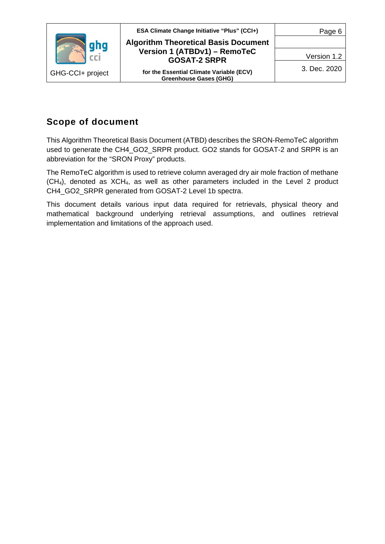

## <span id="page-5-0"></span>**Scope of document**

This Algorithm Theoretical Basis Document (ATBD) describes the SRON-RemoTeC algorithm used to generate the CH4\_GO2\_SRPR product. GO2 stands for GOSAT-2 and SRPR is an abbreviation for the "SRON Proxy" products.

The RemoTeC algorithm is used to retrieve column averaged dry air mole fraction of methane (CH4), denoted as XCH4, as well as other parameters included in the Level 2 product CH4\_GO2\_SRPR generated from GOSAT-2 Level 1b spectra.

This document details various input data required for retrievals, physical theory and mathematical background underlying retrieval assumptions, and outlines retrieval implementation and limitations of the approach used.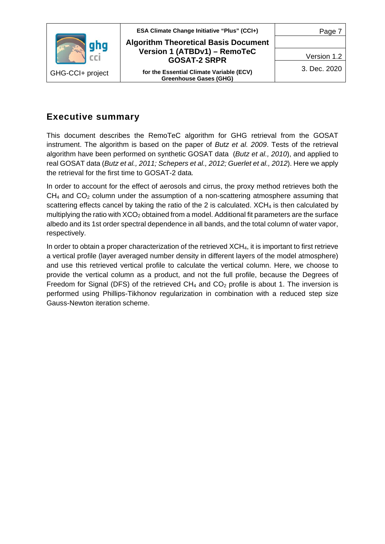

## <span id="page-6-0"></span>**Executive summary**

This document describes the RemoTeC algorithm for GHG retrieval from the GOSAT instrument. The algorithm is based on the paper of *Butz et al. 2009*. Tests of the retrieval algorithm have been performed on synthetic GOSAT data (*Butz et al., 2010*), and applied to real GOSAT data (*Butz et al., 2011; Schepers et al., 2012; Guerlet et al., 2012*). Here we apply the retrieval for the first time to GOSAT-2 data*.*

In order to account for the effect of aerosols and cirrus, the proxy method retrieves both the  $CH<sub>4</sub>$  and  $CO<sub>2</sub>$  column under the assumption of a non-scattering atmosphere assuming that scattering effects cancel by taking the ratio of the 2 is calculated.  $XCH<sub>4</sub>$  is then calculated by multiplying the ratio with XCO<sub>2</sub> obtained from a model. Additional fit parameters are the surface albedo and its 1st order spectral dependence in all bands, and the total column of water vapor, respectively.

In order to obtain a proper characterization of the retrieved XCH4, it is important to first retrieve a vertical profile (layer averaged number density in different layers of the model atmosphere) and use this retrieved vertical profile to calculate the vertical column. Here, we choose to provide the vertical column as a product, and not the full profile, because the Degrees of Freedom for Signal (DFS) of the retrieved  $CH_4$  and  $CO_2$  profile is about 1. The inversion is performed using Phillips-Tikhonov regularization in combination with a reduced step size Gauss-Newton iteration scheme.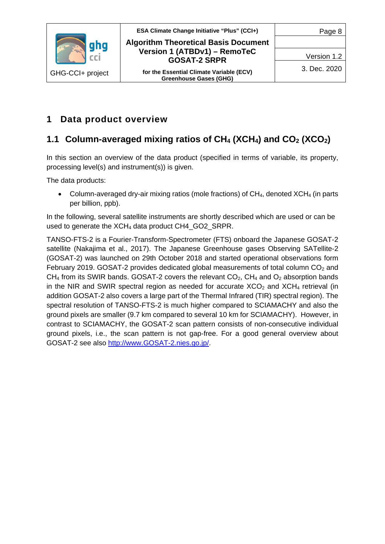

**ESA Climate Change Initiative "Plus" (CCI+) Algorithm Theoretical Basis Document Version 1 (ATBDv1) – RemoTeC GOSAT-2 SRPR**

> **for the Essential Climate Variable (ECV) Greenhouse Gases (GHG)**

Version 1.2

# <span id="page-7-0"></span>**1 Data product overview**

# <span id="page-7-1"></span>**1.1 Column-averaged mixing ratios of CH4 (XCH4) and CO2 (XCO2)**

In this section an overview of the data product (specified in terms of variable, its property, processing level(s) and instrument(s)) is given.

The data products:

• Column-averaged dry-air mixing ratios (mole fractions) of CH<sub>4</sub>, denoted XCH<sub>4</sub> (in parts per billion, ppb).

In the following, several satellite instruments are shortly described which are used or can be used to generate the XCH4 data product CH4\_GO2\_SRPR.

TANSO-FTS-2 is a Fourier-Transform-Spectrometer (FTS) onboard the Japanese GOSAT-2 satellite (Nakajima et al., 2017). The Japanese Greenhouse gases Observing SATellite-2 (GOSAT-2) was launched on 29th October 2018 and started operational observations form February 2019. GOSAT-2 provides dedicated global measurements of total column  $CO<sub>2</sub>$  and CH<sub>4</sub> from its SWIR bands. GOSAT-2 covers the relevant  $CO<sub>2</sub>$ , CH<sub>4</sub> and  $O<sub>2</sub>$  absorption bands in the NIR and SWIR spectral region as needed for accurate  $XCO<sub>2</sub>$  and  $XCH<sub>4</sub>$  retrieval (in addition GOSAT-2 also covers a large part of the Thermal Infrared (TIR) spectral region). The spectral resolution of TANSO-FTS-2 is much higher compared to SCIAMACHY and also the ground pixels are smaller (9.7 km compared to several 10 km for SCIAMACHY). However, in contrast to SCIAMACHY, the GOSAT-2 scan pattern consists of non-consecutive individual ground pixels, i.e., the scan pattern is not gap-free. For a good general overview about GOSAT-2 see also [http://www.GOSAT-2.nies.go.jp/.](http://www.gosat-2.nies.go.jp/)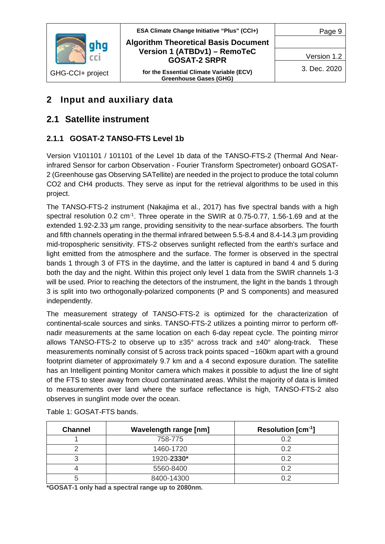

**ESA Climate Change Initiative "Plus" (CCI+) Algorithm Theoretical Basis Document Version 1 (ATBDv1) – RemoTeC GOSAT-2 SRPR**

**for the Essential Climate Variable (ECV) Greenhouse Gases (GHG)**

Version 1.2

Page 9

# <span id="page-8-0"></span>**2 Input and auxiliary data**

## <span id="page-8-1"></span>**2.1 Satellite instrument**

## <span id="page-8-2"></span>**2.1.1 GOSAT-2 TANSO-FTS Level 1b**

Version V101101 / 101101 of the Level 1b data of the TANSO-FTS-2 (Thermal And Nearinfrared Sensor for carbon Observation - Fourier Transform Spectrometer) onboard GOSAT-2 (Greenhouse gas Observing SATellite) are needed in the project to produce the total column CO2 and CH4 products. They serve as input for the retrieval algorithms to be used in this project.

The TANSO-FTS-2 instrument (Nakajima et al., 2017) has five spectral bands with a high spectral resolution 0.2 cm<sup>-1</sup>. Three operate in the SWIR at 0.75-0.77, 1.56-1.69 and at the extended 1.92-2.33 μm range, providing sensitivity to the near-surface absorbers. The fourth and fifth channels operating in the thermal infrared between 5.5-8.4 and 8.4-14.3 µm providing mid-tropospheric sensitivity. FTS-2 observes sunlight reflected from the earth's surface and light emitted from the atmosphere and the surface. The former is observed in the spectral bands 1 through 3 of FTS in the daytime, and the latter is captured in band 4 and 5 during both the day and the night. Within this project only level 1 data from the SWIR channels 1-3 will be used. Prior to reaching the detectors of the instrument, the light in the bands 1 through 3 is split into two orthogonally-polarized components (P and S components) and measured independently.

The measurement strategy of TANSO-FTS-2 is optimized for the characterization of continental-scale sources and sinks. TANSO-FTS-2 utilizes a pointing mirror to perform offnadir measurements at the same location on each 6-day repeat cycle. The pointing mirror allows TANSO-FTS-2 to observe up to  $\pm 35^\circ$  across track and  $\pm 40^\circ$  along-track. These measurements nominally consist of 5 across track points spaced ~160km apart with a ground footprint diameter of approximately 9.7 km and a 4 second exposure duration. The satellite has an Intelligent pointing Monitor camera which makes it possible to adjust the line of sight of the FTS to steer away from cloud contaminated areas. Whilst the majority of data is limited to measurements over land where the surface reflectance is high, TANSO-FTS-2 also observes in sunglint mode over the ocean.

| <b>Channel</b> | <b>Wavelength range [nm]</b> | Resolution $[cm^{-1}]$ |
|----------------|------------------------------|------------------------|
|                | 758-775                      | 0.2                    |
|                | 1460-1720                    | በ ጋ                    |
|                | 1920-2330*                   | 0.2                    |
|                | 5560-8400                    | 0.2                    |
|                | 8400-14300                   | ר ר                    |

Table 1: GOSAT-FTS bands.

**\*GOSAT-1 only had a spectral range up to 2080nm.**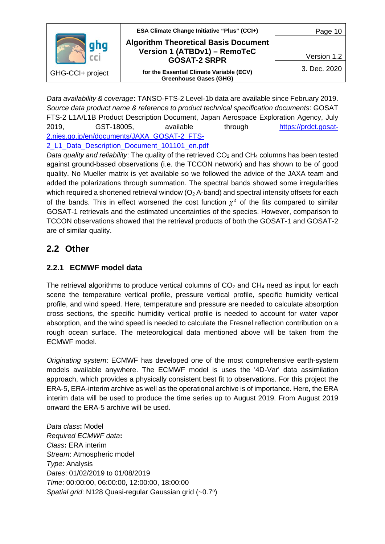

*Data availability & coverage***:** TANSO-FTS-2 Level-1b data are available since February 2019. *Source data product name & reference to product technical specification documents*: GOSAT FTS-2 L1A/L1B Product Description Document, Japan Aerospace Exploration Agency, July 2019, GST-18005, available through [https://prdct.gosat-](https://prdct.gosat-2.nies.go.jp/en/documents/JAXA_GOSAT-2_FTS-2_L1_Data_Description_Document_101101_en.pdf)[2.nies.go.jp/en/documents/JAXA\\_GOSAT-2\\_FTS-](https://prdct.gosat-2.nies.go.jp/en/documents/JAXA_GOSAT-2_FTS-2_L1_Data_Description_Document_101101_en.pdf)2 L1 Data Description Document 101101 en.pdf

*Data quality and reliability*: The quality of the retrieved  $CO<sub>2</sub>$  and  $CH<sub>4</sub>$  columns has been tested against ground-based observations (i.e. the TCCON network) and has shown to be of good quality. No Mueller matrix is yet available so we followed the advice of the JAXA team and added the polarizations through summation. The spectral bands showed some irregularities which required a shortened retrieval window ( $O<sub>2</sub>$  A-band) and spectral intensity offsets for each of the bands. This in effect worsened the cost function  $\chi^2$  of the fits compared to similar GOSAT-1 retrievals and the estimated uncertainties of the species. However, comparison to TCCON observations showed that the retrieval products of both the GOSAT-1 and GOSAT-2 are of similar quality.

## <span id="page-9-0"></span>**2.2 Other**

## <span id="page-9-1"></span>**2.2.1 ECMWF model data**

The retrieval algorithms to produce vertical columns of  $CO<sub>2</sub>$  and  $CH<sub>4</sub>$  need as input for each scene the temperature vertical profile, pressure vertical profile, specific humidity vertical profile, and wind speed. Here, temperature and pressure are needed to calculate absorption cross sections, the specific humidity vertical profile is needed to account for water vapor absorption, and the wind speed is needed to calculate the Fresnel reflection contribution on a rough ocean surface. The meteorological data mentioned above will be taken from the ECMWF model.

*Originating system*: ECMWF has developed one of the most comprehensive earth-system models available anywhere. The ECMWF model is uses the '4D-Var' data assimilation approach, which provides a physically consistent best fit to observations. For this project the ERA-5, ERA-interim archive as well as the operational archive is of importance. Here, the ERA interim data will be used to produce the time series up to August 2019. From August 2019 onward the ERA-5 archive will be used.

*Data class***:** Model *Required ECMWF data***:** *Class***:** ERA interim *Stream*: Atmospheric model *Type*: Analysis *Dates*: 01/02/2019 to 01/08/2019 *Time*: 00:00:00, 06:00:00, 12:00:00, 18:00:00 *Spatial grid*: N128 Quasi-regular Gaussian grid (~0.7o)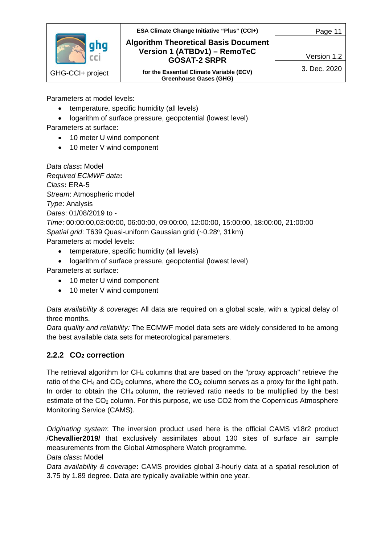

## **ESA Climate Change Initiative "Plus" (CCI+) Algorithm Theoretical Basis Document Version 1 (ATBDv1) – RemoTeC GOSAT-2 SRPR**

Version 1.2

Page 11

**for the Essential Climate Variable (ECV) Greenhouse Gases (GHG)**

3. Dec. 2020

Parameters at model levels:

- temperature, specific humidity (all levels)
- logarithm of surface pressure, geopotential (lowest level)

Parameters at surface:

- 10 meter U wind component
- 10 meter V wind component

*Data class***:** Model *Required ECMWF data***:** *Class***:** ERA-5 *Stream*: Atmospheric model *Type*: Analysis *Dates*: 01/08/2019 to - *Time*: 00:00:00,03:00:00, 06:00:00, 09:00:00, 12:00:00, 15:00:00, 18:00:00, 21:00:00 Spatial grid: T639 Quasi-uniform Gaussian grid (~0.28°, 31km) Parameters at model levels:

- temperature, specific humidity (all levels)
- logarithm of surface pressure, geopotential (lowest level)

Parameters at surface:

- 10 meter U wind component
- 10 meter V wind component

*Data availability & coverage***:** All data are required on a global scale, with a typical delay of three months.

*Data quality and reliability:* The ECMWF model data sets are widely considered to be among the best available data sets for meteorological parameters.

### <span id="page-10-0"></span>**2.2.2 CO2 correction**

The retrieval algorithm for  $CH_4$  columns that are based on the "proxy approach" retrieve the ratio of the CH<sub>4</sub> and CO<sub>2</sub> columns, where the CO<sub>2</sub> column serves as a proxy for the light path. In order to obtain the CH<sub>4</sub> column, the retrieved ratio needs to be multiplied by the best estimate of the CO<sub>2</sub> column. For this purpose, we use CO2 from the Copernicus Atmosphere Monitoring Service (CAMS).

*Originating system*: The inversion product used here is the official CAMS v18r2 product /**Chevallier2019/** that exclusively assimilates about 130 sites of surface air sample measurements from the Global Atmosphere Watch programme.

*Data class***:** Model

*Data availability & coverage***:** CAMS provides global 3-hourly data at a spatial resolution of 3.75 by 1.89 degree. Data are typically available within one year.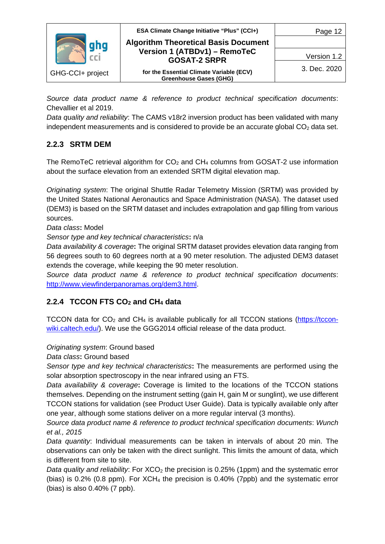

*Source data product name & reference to product technical specification documents*: Chevallier et al 2019.

*Data quality and reliability*: The CAMS v18r2 inversion product has been validated with many independent measurements and is considered to provide be an accurate global  $CO<sub>2</sub>$  data set.

#### <span id="page-11-0"></span>**2.2.3 SRTM DEM**

The RemoTeC retrieval algorithm for  $CO<sub>2</sub>$  and  $CH<sub>4</sub>$  columns from GOSAT-2 use information about the surface elevation from an extended SRTM digital elevation map.

*Originating system*: The original Shuttle Radar Telemetry Mission (SRTM) was provided by the United States National Aeronautics and Space Administration (NASA). The dataset used (DEM3) is based on the SRTM dataset and includes extrapolation and gap filling from various sources.

*Data class***:** Model

*Sensor type and key technical characteristics***:** n/a

*Data availability & coverage***:** The original SRTM dataset provides elevation data ranging from 56 degrees south to 60 degrees north at a 90 meter resolution. The adjusted DEM3 dataset extends the coverage, while keeping the 90 meter resolution.

*Source data product name & reference to product technical specification documents*: [http://www.viewfinderpanoramas.org/dem3.html.](http://www.viewfinderpanoramas.org/dem3.html)

#### <span id="page-11-1"></span>**2.2.4 TCCON FTS CO2 and CH4 data**

TCCON data for  $CO<sub>2</sub>$  and  $CH<sub>4</sub>$  is available publically for all TCCON stations [\(https://tccon](https://tccon-wiki.caltech.edu/)[wiki.caltech.edu/\)](https://tccon-wiki.caltech.edu/). We use the GGG2014 official release of the data product.

#### *Originating system*: Ground based

*Data class***:** Ground based

*Sensor type and key technical characteristics***:** The measurements are performed using the solar absorption spectroscopy in the near infrared using an FTS.

*Data availability & coverage***:** Coverage is limited to the locations of the TCCON stations themselves. Depending on the instrument setting (gain H, gain M or sunglint), we use different TCCON stations for validation (see Product User Guide). Data is typically available only after one year, although some stations deliver on a more regular interval (3 months).

*Source data product name & reference to product technical specification documents*: *Wunch et al., 2015* 

*Data quantity*: Individual measurements can be taken in intervals of about 20 min. The observations can only be taken with the direct sunlight. This limits the amount of data, which is different from site to site.

*Data quality and reliability*: For XCO<sub>2</sub> the precision is 0.25% (1ppm) and the systematic error (bias) is 0.2% (0.8 ppm). For  $XCH_4$  the precision is 0.40% (7ppb) and the systematic error (bias) is also 0.40% (7 ppb).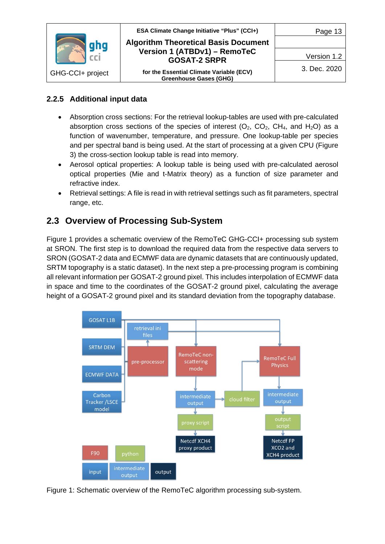

### <span id="page-12-0"></span>**2.2.5 Additional input data**

- Absorption cross sections: For the retrieval lookup-tables are used with pre-calculated absorption cross sections of the species of interest  $(O_2, CO_2, CH_4, and H_2O)$  as a function of wavenumber, temperature, and pressure. One lookup-table per species and per spectral band is being used. At the start of processing at a given CPU [\(Figure](#page-14-0)  [3\)](#page-14-0) the cross-section lookup table is read into memory.
- Aerosol optical properties: A lookup table is being used with pre-calculated aerosol optical properties (Mie and t-Matrix theory) as a function of size parameter and refractive index.
- Retrieval settings: A file is read in with retrieval settings such as fit parameters, spectral range, etc.

## <span id="page-12-1"></span>**2.3 Overview of Processing Sub-System**

[Figure 1](#page-12-2) provides a schematic overview of the RemoTeC GHG-CCI+ processing sub system at SRON. The first step is to download the required data from the respective data servers to SRON (GOSAT-2 data and ECMWF data are dynamic datasets that are continuously updated, SRTM topography is a static dataset). In the next step a pre-processing program is combining all relevant information per GOSAT-2 ground pixel. This includes interpolation of ECMWF data in space and time to the coordinates of the GOSAT-2 ground pixel, calculating the average height of a GOSAT-2 ground pixel and its standard deviation from the topography database.



<span id="page-12-2"></span>Figure 1: Schematic overview of the RemoTeC algorithm processing sub-system.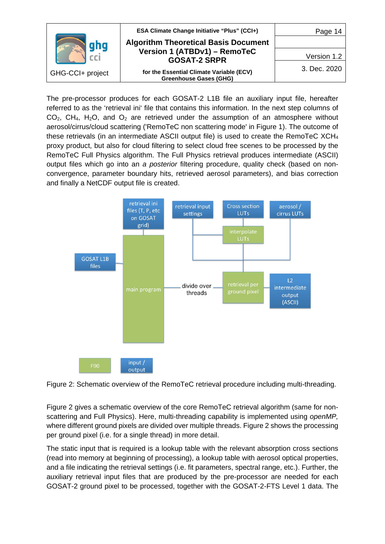

The pre-processor produces for each GOSAT-2 L1B file an auxiliary input file, hereafter referred to as the 'retrieval ini' file that contains this information. In the next step columns of  $CO<sub>2</sub>$ , CH<sub>4</sub>, H<sub>2</sub>O, and O<sub>2</sub> are retrieved under the assumption of an atmosphere without aerosol/cirrus/cloud scattering ('RemoTeC non scattering mode' in [Figure 1\)](#page-12-2). The outcome of these retrievals (in an intermediate ASCII output file) is used to create the RemoTeC XCH4 proxy product, but also for cloud filtering to select cloud free scenes to be processed by the RemoTeC Full Physics algorithm. The Full Physics retrieval produces intermediate (ASCII) output files which go into an *a posterior* filtering procedure, quality check (based on nonconvergence, parameter boundary hits, retrieved aerosol parameters), and bias correction and finally a NetCDF output file is created.



<span id="page-13-0"></span>Figure 2: Schematic overview of the RemoTeC retrieval procedure including multi-threading.

[Figure 2](#page-13-0) gives a schematic overview of the core RemoTeC retrieval algorithm (same for nonscattering and Full Physics). Here, multi-threading capability is implemented using *openMP,*  where different ground pixels are divided over multiple threads. [Figure 2](#page-13-0) shows the processing per ground pixel (i.e. for a single thread) in more detail.

The static input that is required is a lookup table with the relevant absorption cross sections (read into memory at beginning of processing), a lookup table with aerosol optical properties, and a file indicating the retrieval settings (i.e. fit parameters, spectral range, etc.). Further, the auxiliary retrieval input files that are produced by the pre-processor are needed for each GOSAT-2 ground pixel to be processed, together with the GOSAT-2-FTS Level 1 data. The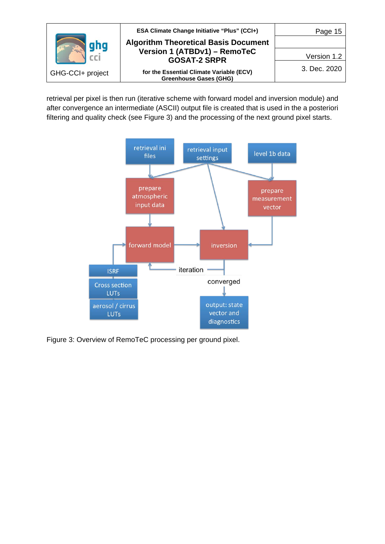

retrieval per pixel is then run (iterative scheme with forward model and inversion module) and after convergence an intermediate (ASCII) output file is created that is used in the a posteriori filtering and quality check (see [Figure 3\)](#page-14-0) and the processing of the next ground pixel starts.



<span id="page-14-0"></span>Figure 3: Overview of RemoTeC processing per ground pixel.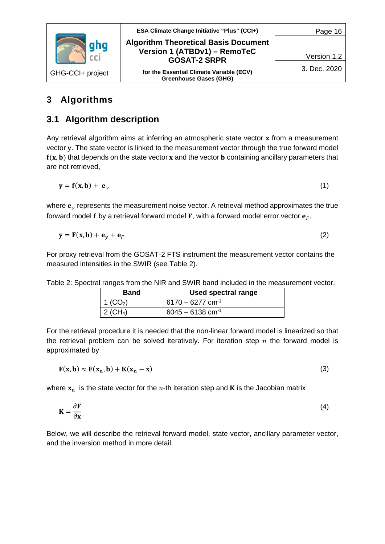

# <span id="page-15-0"></span>**3 Algorithms**

## <span id="page-15-1"></span>**3.1 Algorithm description**

Any retrieval algorithm aims at inferring an atmospheric state vector  $x$  from a measurement vector y. The state vector is linked to the measurement vector through the true forward model  $f(x, b)$  that depends on the state vector x and the vector **b** containing ancillary parameters that are not retrieved,

$$
y = f(x, b) + e_y \tag{1}
$$

where  $e_v$  represents the measurement noise vector. A retrieval method approximates the true forward model f by a retrieval forward model F, with a forward model error vector  $\mathbf{e}_F$ ,

$$
\mathbf{y} = \mathbf{F}(\mathbf{x}, \mathbf{b}) + \mathbf{e}_y + \mathbf{e}_F
$$
 (2)

For proxy retrieval from the GOSAT-2 FTS instrument the measurement vector contains the measured intensities in the SWIR (see [Table 2\)](#page-15-2).

| Band                   | Used spectral range            |
|------------------------|--------------------------------|
| 1 ( $CO2$ )            | $6170 - 6277$ cm <sup>-1</sup> |
| $2$ (CH <sub>4</sub> ) | $6045 - 6138$ cm <sup>-1</sup> |

<span id="page-15-2"></span>Table 2: Spectral ranges from the NIR and SWIR band included in the measurement vector.

For the retrieval procedure it is needed that the non-linear forward model is linearized so that the retrieval problem can be solved iteratively. For iteration step  $n$  the forward model is approximated by

$$
\mathbf{F}(\mathbf{x}, \mathbf{b}) \approx \mathbf{F}(\mathbf{x}_n, \mathbf{b}) + \mathbf{K}(\mathbf{x}_n - \mathbf{x})
$$
\n(3)

where  $x_n$  is the state vector for the *n*-th iteration step and **K** is the Jacobian matrix

$$
K = \frac{\partial F}{\partial x} \tag{4}
$$

Below, we will describe the retrieval forward model, state vector, ancillary parameter vector, and the inversion method in more detail.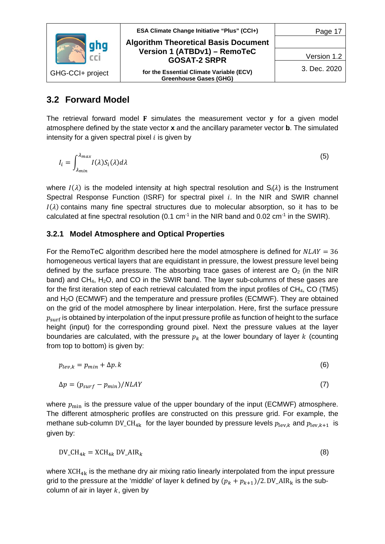

## <span id="page-16-0"></span>**3.2 Forward Model**

The retrieval forward model  $F$  simulates the measurement vector  $v$  for a given model atmosphere defined by the state vector **x** and the ancillary parameter vector **b**. The simulated intensity for a given spectral pixel  $i$  is given by

$$
I_i = \int_{\lambda_{min}}^{\lambda_{max}} I(\lambda) S_i(\lambda) d\lambda
$$
 (5)

where  $I(\lambda)$  is the modeled intensity at high spectral resolution and  $S_i(\lambda)$  is the Instrument Spectral Response Function (ISRF) for spectral pixel  $i$ . In the NIR and SWIR channel  $I(\lambda)$  contains many fine spectral structures due to molecular absorption, so it has to be calculated at fine spectral resolution (0.1 cm<sup>-1</sup> in the NIR band and 0.02 cm<sup>-1</sup> in the SWIR).

#### <span id="page-16-1"></span>**3.2.1 Model Atmosphere and Optical Properties**

For the RemoTeC algorithm described here the model atmosphere is defined for  $NLAY = 36$ homogeneous vertical layers that are equidistant in pressure, the lowest pressure level being defined by the surface pressure. The absorbing trace gases of interest are  $O<sub>2</sub>$  (in the NIR band) and  $CH_4$ ,  $H_2O$ , and CO in the SWIR band. The layer sub-columns of these gases are for the first iteration step of each retrieval calculated from the input profiles of  $CH_4$ , CO (TM5) and  $H<sub>2</sub>O$  (ECMWF) and the temperature and pressure profiles (ECMWF). They are obtained on the grid of the model atmosphere by linear interpolation. Here, first the surface pressure  $p_{\text{surf}}$  is obtained by interpolation of the input pressure profile as function of height to the surface height (input) for the corresponding ground pixel. Next the pressure values at the layer boundaries are calculated, with the pressure  $p_k$  at the lower boundary of layer k (counting from top to bottom) is given by:

$$
p_{lev,k} = p_{min} + \Delta p. \tag{6}
$$

$$
\Delta p = (p_{surf} - p_{min})/NLAY
$$
\n(7)

where  $p_{\min}$  is the pressure value of the upper boundary of the input (ECMWF) atmosphere. The different atmospheric profiles are constructed on this pressure grid. For example, the methane sub-column DV\_CH<sub>4k</sub> for the layer bounded by pressure levels  $p_{\text{lev},k}$  and  $p_{\text{lev},k+1}$  is given by:

$$
DV\_CH_{4k} = XCH_{4k} DV\_AIR_k
$$
\n(8)

where  $XCH_{4k}$  is the methane dry air mixing ratio linearly interpolated from the input pressure grid to the pressure at the 'middle' of layer k defined by  $(p_k + p_{k+1})/2$ . DV\_AIR<sub>k</sub> is the subcolumn of air in layer  $k$ , given by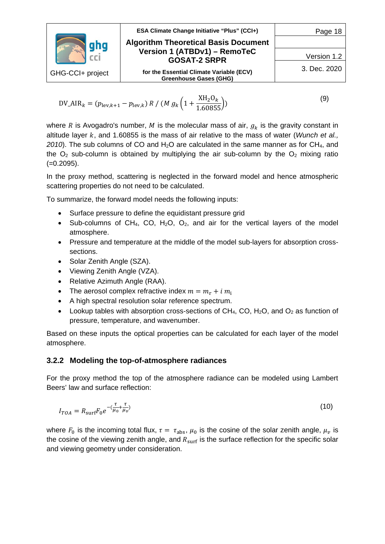|                  | ESA Climate Change Initiative "Plus" (CCI+)                               | Page 18      |
|------------------|---------------------------------------------------------------------------|--------------|
|                  | <b>Algorithm Theoretical Basis Document</b>                               |              |
|                  | Version 1 (ATBDv1) - RemoTeC<br><b>GOSAT-2 SRPR</b>                       | Version 1.2  |
| GHG-CCI+ project | for the Essential Climate Variable (ECV)<br><b>Greenhouse Gases (GHG)</b> | 3. Dec. 2020 |
|                  |                                                                           |              |

$$
DV_AIR_k = (p_{\text{lev},k+1} - p_{\text{lev},k}) R / (M g_k \left(1 + \frac{XH_2O_k}{1.60855}\right))
$$
\n(9)

where R is Avogadro's number, M is the molecular mass of air,  $g_k$  is the gravity constant in altitude layer k, and 1.60855 is the mass of air relative to the mass of water (*Wunch et al.*, 2010). The sub columns of CO and H<sub>2</sub>O are calculated in the same manner as for CH<sub>4</sub>, and the  $O<sub>2</sub>$  sub-column is obtained by multiplying the air sub-column by the  $O<sub>2</sub>$  mixing ratio (=0.2095).

In the proxy method, scattering is neglected in the forward model and hence atmospheric scattering properties do not need to be calculated.

To summarize, the forward model needs the following inputs:

- Surface pressure to define the equidistant pressure grid
- Sub-columns of CH<sub>4</sub>, CO, H<sub>2</sub>O, O<sub>2</sub>, and air for the vertical layers of the model atmosphere.
- Pressure and temperature at the middle of the model sub-layers for absorption crosssections.
- Solar Zenith Angle (SZA).
- Viewing Zenith Angle (VZA).
- Relative Azimuth Angle (RAA).
- The aerosol complex refractive index  $m = m_r + i m_i$
- A high spectral resolution solar reference spectrum.
- Lookup tables with absorption cross-sections of  $CH_4$ , CO, H<sub>2</sub>O, and O<sub>2</sub> as function of pressure, temperature, and wavenumber.

Based on these inputs the optical properties can be calculated for each layer of the model atmosphere.

#### <span id="page-17-0"></span>**3.2.2 Modeling the top-of-atmosphere radiances**

For the proxy method the top of the atmosphere radiance can be modeled using Lambert Beers' law and surface reflection:

$$
I_{TOA} = R_{\text{surf}} F_0 e^{-(\frac{\tau}{\mu_0} + \frac{\tau}{\mu_\nu})}
$$
\n<sup>(10)</sup>

where  $F_0$  is the incoming total flux,  $\tau = \tau_{\text{abs}}$ ,  $\mu_0$  is the cosine of the solar zenith angle,  $\mu_\nu$  is the cosine of the viewing zenith angle, and  $R_{\text{surf}}$  is the surface reflection for the specific solar and viewing geometry under consideration.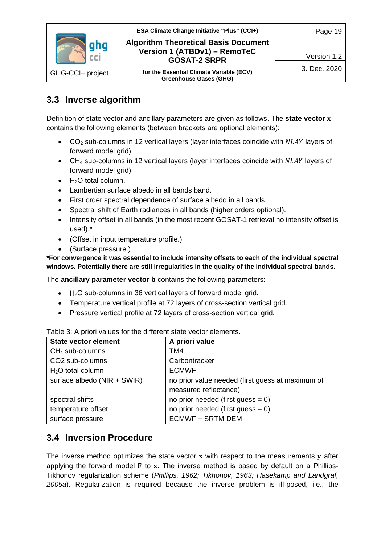

Version 1.2

# <span id="page-18-0"></span>**3.3 Inverse algorithm**

Definition of state vector and ancillary parameters are given as follows. The **state vector**  contains the following elements (between brackets are optional elements):

- $CO<sub>2</sub>$  sub-columns in 12 vertical layers (layer interfaces coincide with  $NLAY$  layers of forward model grid).
- CH<sub>4</sub> sub-columns in 12 vertical layers (layer interfaces coincide with  $NLAY$  layers of forward model grid).
- $\bullet$  H<sub>2</sub>O total column.
- Lambertian surface albedo in all bands band.
- First order spectral dependence of surface albedo in all bands.
- Spectral shift of Earth radiances in all bands (higher orders optional).
- Intensity offset in all bands (in the most recent GOSAT-1 retrieval no intensity offset is used).\*
- (Offset in input temperature profile.)
- (Surface pressure.)

**\*For convergence it was essential to include intensity offsets to each of the individual spectral windows. Potentially there are still irregularities in the quality of the individual spectral bands.**

The **ancillary parameter vector b** contains the following parameters:

- $\bullet$  H<sub>2</sub>O sub-columns in 36 vertical layers of forward model grid.
- Temperature vertical profile at 72 layers of cross-section vertical grid.
- Pressure vertical profile at 72 layers of cross-section vertical grid.

| <b>State vector element</b> | A priori value                                   |
|-----------------------------|--------------------------------------------------|
| $CH4$ sub-columns           | TM4                                              |
| CO <sub>2</sub> sub-columns | Carbontracker                                    |
| $H2O$ total column          | <b>ECMWF</b>                                     |
| surface albedo (NIR + SWIR) | no prior value needed (first guess at maximum of |
|                             | measured reflectance)                            |
| spectral shifts             | no prior needed (first guess = $0$ )             |
| temperature offset          | no prior needed (first guess $= 0$ )             |
| surface pressure            | <b>ECMWF + SRTM DEM</b>                          |

<span id="page-18-2"></span>Table 3: A priori values for the different state vector elements.

# <span id="page-18-1"></span>**3.4 Inversion Procedure**

The inverse method optimizes the state vector  $x$  with respect to the measurements  $v$  after applying the forward model  $F$  to  $x$ . The inverse method is based by default on a Phillips-Tikhonov regularization scheme (*Phillips, 1962; Tikhonov, 1963; Hasekamp and Landgraf, 2005a*). Regularization is required because the inverse problem is ill-posed, i.e., the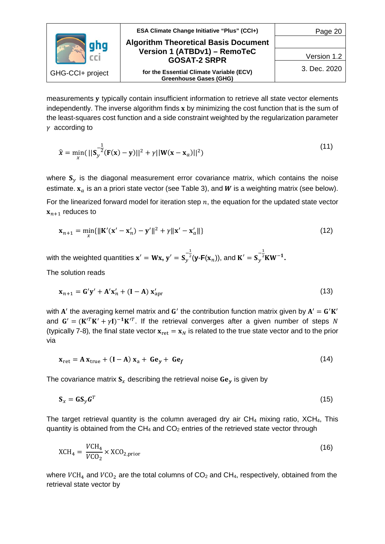

measurements y typically contain insufficient information to retrieve all state vector elements independently. The inverse algorithm finds  $x$  by minimizing the cost function that is the sum of the least-squares cost function and a side constraint weighted by the regularization parameter  $\gamma$  according to

$$
\hat{\mathbf{x}} = \min_{\mathbf{x}} (||\mathbf{S}_{\mathbf{y}}^{-\frac{1}{2}} (\mathbf{F}(\mathbf{x}) - \mathbf{y})||^2 + \gamma ||\mathbf{W}(\mathbf{x} - \mathbf{x}_a)||^2)
$$
(11)

where  $\mathbf{S}_y$  is the diagonal measurement error covariance matrix, which contains the noise estimate.  $x_a$  is an a priori state vector (see [Table 3\)](#page-18-2), and W is a weighting matrix (see below).

For the linearized forward model for iteration step  $n$ , the equation for the updated state vector  $x_{n+1}$  reduces to

$$
\mathbf{x}_{n+1} = \min_{x} {\| \mathbf{K}'(\mathbf{x}' - \mathbf{x}'_n) - \mathbf{y}' \|^2 + \gamma \| \mathbf{x}' - \mathbf{x}'_a \|} \tag{12}
$$

with the weighted quantities  $\mathbf{x}' = \mathbf{W}\mathbf{x}$ ,  $\mathbf{y}' = \mathbf{S}_y$  $-\frac{1}{2}$  $^{2}$ (**y**-**F**( $\mathbf{x}_{n}$ )), and **K**<sup> $\prime$ </sup> =  $\mathbf{S}_{y}$  $-\frac{1}{2}$ <sup>2</sup>**KW<sup>-1</sup>.** 

The solution reads

$$
\mathbf{x}_{n+1} = \mathbf{G}'\mathbf{y}' + \mathbf{A}'\mathbf{x}'_n + (\mathbf{I} - \mathbf{A})\mathbf{x}'_{\text{apr}}
$$
\n(13)

with  $A'$  the averaging kernel matrix and  $G'$  the contribution function matrix given by  $A' = G'K'$ and  $G' = (K'^T K' + \gamma I)^{-1} K'^T$ . If the retrieval converges after a given number of steps N (typically 7-8), the final state vector  $x_{\text{ret}} = x_N$  is related to the true state vector and to the prior via

$$
\mathbf{x}_{\text{ret}} = \mathbf{A} \, \mathbf{x}_{\text{true}} + (\mathbf{I} - \mathbf{A}) \, \mathbf{x}_{\text{a}} + \mathbf{G} \mathbf{e}_{\mathbf{y}} + \mathbf{G} \mathbf{e}_{\mathbf{f}} \tag{14}
$$

The covariance matrix  $S_x$  describing the retrieval noise  $Ge_y$  is given by

$$
\mathbf{S}_x = \mathbf{G} \mathbf{S}_y \mathbf{G}^T \tag{15}
$$

The target retrieval quantity is the column averaged dry air  $CH_4$  mixing ratio,  $XCH_4$ , This quantity is obtained from the  $CH_4$  and  $CO_2$  entries of the retrieved state vector through

$$
XCH_4 = \frac{VCH_4}{VCO_2} \times XCO_{2,\text{prior}}
$$
 (16)

where  $VCH_4$  and  $VCO_2$  are the total columns of  $CO_2$  and  $CH_4$ , respectively, obtained from the retrieval state vector by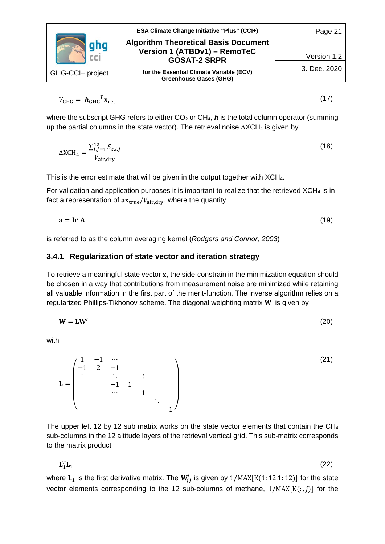

$$
V_{\text{GHG}} = \boldsymbol{h}_{\text{GHG}}^T \mathbf{x}_{\text{ret}} \tag{17}
$$

where the subscript GHG refers to either  $CO<sub>2</sub>$  or  $CH<sub>4</sub>$ ,  $h$  is the total column operator (summing up the partial columns in the state vector). The retrieval noise ∆XCH<sub>4</sub> is given by

$$
\Delta XCH_4 = \frac{\sum_{i,j=1}^{12} S_{x,i,j}}{V_{\text{air,dry}}}
$$
(18)

This is the error estimate that will be given in the output together with XCH4.

For validation and application purposes it is important to realize that the retrieved XCH4 is in fact a representation of  $ax_{true}/V_{air,dry}$ , where the quantity

$$
\mathbf{a} = \mathbf{h}^T \mathbf{A} \tag{19}
$$

<span id="page-20-0"></span>is referred to as the column averaging kernel (*Rodgers and Connor, 2003*)

#### **3.4.1 Regularization of state vector and iteration strategy**

To retrieve a meaningful state vector  $x$ , the side-constrain in the minimization equation should be chosen in a way that contributions from measurement noise are minimized while retaining all valuable information in the first part of the merit-function. The inverse algorithm relies on a regularized Phillips-Tikhonov scheme. The diagonal weighting matrix  $W$  is given by

$$
W = LW'
$$
 (20)

with

 $\mathbf{r} =$  $\lambda$  $\mathsf{L}$  $\mathsf{L}$  $\mathsf{L}$  $\mathsf{I}$ 1 −1 ⋯ −1 2 −1  $\ddot{\textbf{i}}$ −1 1  $\cdots$  1 ⋱  $1<sup>′</sup>$ ⎟  $\overline{\phantom{a}}$  $\blacksquare$ ⎞ (21)

The upper left 12 by 12 sub matrix works on the state vector elements that contain the CH<sub>4</sub> sub-columns in the 12 altitude layers of the retrieval vertical grid. This sub-matrix corresponds to the matrix product

$$
\mathbf{L}_1^T \mathbf{L}_1 \tag{22}
$$

where  ${\bf L_1}$  is the first derivative matrix. The  ${\bf W}_{jj}'$  is given by  $1/{\rm MAX}[{\rm K}(1:12,1:12)]$  for the state vector elements corresponding to the 12 sub-columns of methane,  $1/MAX[K(:, j)]$  for the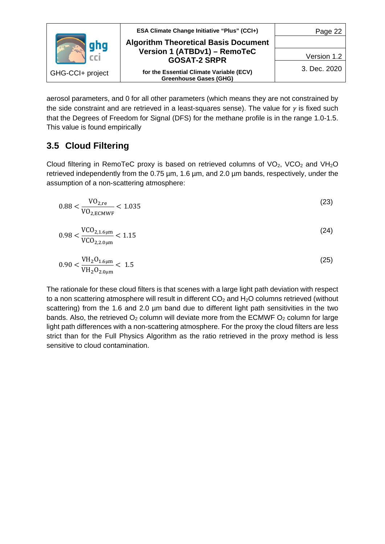

aerosol parameters, and 0 for all other parameters (which means they are not constrained by the side constraint and are retrieved in a least-squares sense). The value for  $\gamma$  is fixed such that the Degrees of Freedom for Signal (DFS) for the methane profile is in the range 1.0-1.5. This value is found empirically

## <span id="page-21-0"></span>**3.5 Cloud Filtering**

Cloud filtering in RemoTeC proxy is based on retrieved columns of  $VO<sub>2</sub>$ , VCO<sub>2</sub> and VH<sub>2</sub>O retrieved independently from the 0.75 µm, 1.6 µm, and 2.0 µm bands, respectively, under the assumption of a non-scattering atmosphere:

$$
0.88 < \frac{\text{VO}_{2,\text{re}}}{\text{VO}_{2,\text{ECMWF}}} < 1.035 \tag{23}
$$

$$
0.98 < \frac{\text{VCO}_{2,1.6\mu\text{m}}}{\text{VCO}_{2,2.0\mu\text{m}}} < 1.15 \tag{24}
$$

$$
0.90 < \frac{\text{VH}_2\text{O}_{1.6\mu\text{m}}}{\text{VH}_2\text{O}_{2.0\mu\text{m}}} < 1.5 \tag{25}
$$

The rationale for these cloud filters is that scenes with a large light path deviation with respect to a non scattering atmosphere will result in different  $CO<sub>2</sub>$  and  $H<sub>2</sub>O$  columns retrieved (without scattering) from the 1.6 and 2.0 µm band due to different light path sensitivities in the two bands. Also, the retrieved  $O_2$  column will deviate more from the ECMWF  $O_2$  column for large light path differences with a non-scattering atmosphere. For the proxy the cloud filters are less strict than for the Full Physics Algorithm as the ratio retrieved in the proxy method is less sensitive to cloud contamination.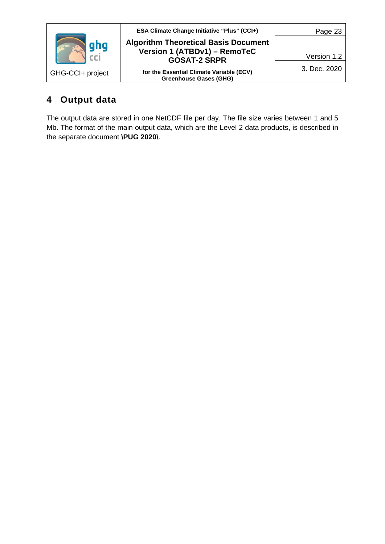

# <span id="page-22-0"></span>**4 Output data**

The output data are stored in one NetCDF file per day. The file size varies between 1 and 5 Mb. The format of the main output data, which are the Level 2 data products, is described in the separate document **\PUG 2020\**.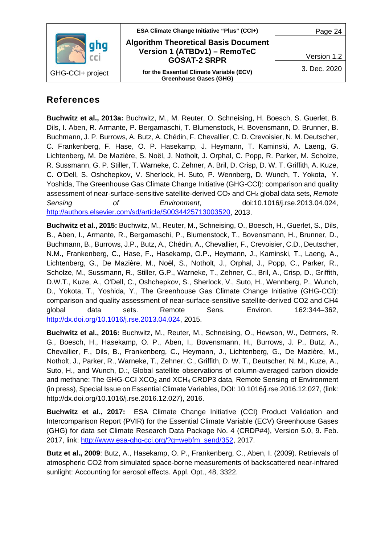

## <span id="page-23-0"></span>**References**

**Buchwitz et al., 2013a:** Buchwitz, M., M. Reuter, O. Schneising, H. Boesch, S. Guerlet, B. Dils, I. Aben, R. Armante, P. Bergamaschi, T. Blumenstock, H. Bovensmann, D. Brunner, B. Buchmann, J. P. Burrows, A. Butz, A. Chédin, F. Chevallier, C. D. Crevoisier, N. M. Deutscher, C. Frankenberg, F. Hase, O. P. Hasekamp, J. Heymann, T. Kaminski, A. Laeng, G. Lichtenberg, M. De Mazière, S. Noël, J. Notholt, J. Orphal, C. Popp, R. Parker, M. Scholze, R. Sussmann, G. P. Stiller, T. Warneke, C. Zehner, A. Bril, D. Crisp, D. W. T. Griffith, A. Kuze, C. O'Dell, S. Oshchepkov, V. Sherlock, H. Suto, P. Wennberg, D. Wunch, T. Yokota, Y. Yoshida, The Greenhouse Gas Climate Change Initiative (GHG-CCI): comparison and quality assessment of near-surface-sensitive satellite-derived CO<sub>2</sub> and CH<sub>4</sub> global data sets, *Remote Sensing of Environment*, doi:10.1016/j.rse.2013.04.024, [http://authors.elsevier.com/sd/article/S0034425713003520,](http://authors.elsevier.com/sd/article/S0034425713003520) 2013.

**Buchwitz et al., 2015:** Buchwitz, M., Reuter, M., Schneising, O., Boesch, H., Guerlet, S., Dils, B., Aben, I., Armante, R., Bergamaschi, P., Blumenstock, T., Bovensmann, H., Brunner, D., Buchmann, B., Burrows, J.P., Butz, A., Chédin, A., Chevallier, F., Crevoisier, C.D., Deutscher, N.M., Frankenberg, C., Hase, F., Hasekamp, O.P., Heymann, J., Kaminski, T., Laeng, A., Lichtenberg, G., De Mazière, M., Noël, S., Notholt, J., Orphal, J., Popp, C., Parker, R., Scholze, M., Sussmann, R., Stiller, G.P., Warneke, T., Zehner, C., Bril, A., Crisp, D., Griffith, D.W.T., Kuze, A., O'Dell, C., Oshchepkov, S., Sherlock, V., Suto, H., Wennberg, P., Wunch, D., Yokota, T., Yoshida, Y., The Greenhouse Gas Climate Change Initiative (GHG-CCI): comparison and quality assessment of near-surface-sensitive satellite-derived CO2 and CH4 global data sets. Remote Sens. Environ. 162:344–362, [http://dx.doi.org/10.1016/j.rse.2013.04.024,](http://dx.doi.org/10.1016/j.rse.2013.04.024) 2015.

**Buchwitz et al., 2016:** Buchwitz, M., Reuter, M., Schneising, O., Hewson, W., Detmers, R. G., Boesch, H., Hasekamp, O. P., Aben, I., Bovensmann, H., Burrows, J. P., Butz, A., Chevallier, F., Dils, B., Frankenberg, C., Heymann, J., Lichtenberg, G., De Mazière, M., Notholt, J., Parker, R., Warneke, T., Zehner, C., Griffith, D. W. T., Deutscher, N. M., Kuze, A., Suto, H., and Wunch, D.:, Global satellite observations of column-averaged carbon dioxide and methane: The GHG-CCI  $XCO<sub>2</sub>$  and  $XCH<sub>4</sub>$  CRDP3 data, Remote Sensing of Environment (in press), Special Issue on Essential Climate Variables, DOI: 10.1016/j.rse.2016.12.027, (link: http://dx.doi.org/10.1016/j.rse.2016.12.027), 2016.

**Buchwitz et al., 2017:** ESA Climate Change Initiative (CCI) Product Validation and Intercomparison Report (PVIR) for the Essential Climate Variable (ECV) Greenhouse Gases (GHG) for data set Climate Research Data Package No. 4 (CRDP#4), Version 5.0, 9. Feb. 2017, link: [http://www.esa-ghg-cci.org/?q=webfm\\_send/352,](http://www.esa-ghg-cci.org/?q=webfm_send/352) 2017.

**Butz et al., 2009**: Butz, A., Hasekamp, O. P., Frankenberg, C., Aben, I. (2009). Retrievals of atmospheric CO2 from simulated space-borne measurements of backscattered near-infrared sunlight: Accounting for aerosol effects. Appl. Opt., 48, 3322.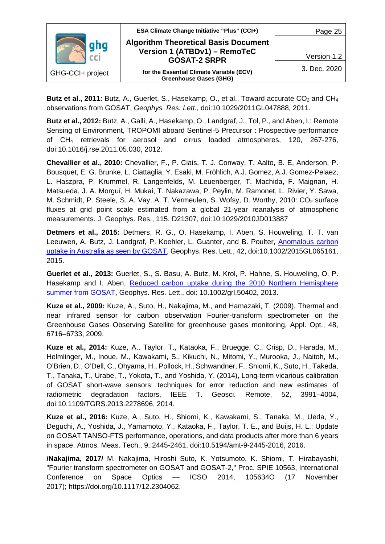

**Butz et al., 2011:** Butz, A., Guerlet, S., Hasekamp, O., et al., Toward accurate CO<sub>2</sub> and CH<sub>4</sub> observations from GOSAT, *Geophys. Res. Lett.*, doi:10.1029/2011GL047888, 2011.

**Butz et al., 2012:** Butz, A., Galli, A., Hasekamp, O., Landgraf, J., Tol, P., and Aben, I.: Remote Sensing of Environment, TROPOMI aboard Sentinel-5 Precursor : Prospective performance of CH4 retrievals for aerosol and cirrus loaded atmospheres, 120, 267-276, doi:10.1016/j.rse.2011.05.030, 2012.

**Chevallier et al., 2010:** Chevallier, F., P. Ciais, T. J. Conway, T. Aalto, B. E. Anderson, P. Bousquet, E. G. Brunke, L. Ciattaglia, Y. Esaki, M. Fröhlich, A.J. Gomez, A.J. Gomez-Pelaez, L. Haszpra, P. Krummel, R. Langenfelds, M. Leuenberger, T. Machida, F. Maignan, H. Matsueda, J. A. Morguí, H. Mukai, T. Nakazawa, P. Peylin, M. Ramonet, L. Rivier, Y. Sawa, M. Schmidt, P. Steele, S. A. Vay, A. T. Vermeulen, S. Wofsy, D. Worthy, 2010: CO<sub>2</sub> surface fluxes at grid point scale estimated from a global 21-year reanalysis of atmospheric measurements. J. Geophys. Res., 115, D21307, doi:10:1029/2010JD013887

**Detmers et al., 2015:** Detmers, R. G., O. Hasekamp, I. Aben, S. Houweling, T. T. van Leeuwen, A. Butz, J. Landgraf, P. Koehler, L. Guanter, and B. Poulter, [Anomalous carbon](http://onlinelibrary.wiley.com/doi/10.1002/2015GL065161/full)  [uptake in Australia as seen by GOSAT,](http://onlinelibrary.wiley.com/doi/10.1002/2015GL065161/full) Geophys. Res. Lett., 42, doi:10.1002/2015GL065161, 2015.

**Guerlet et al., 2013:** Guerlet, S., S. Basu, A. Butz, M. Krol, P. Hahne, S. Houweling, O. P. Hasekamp and I. Aben, Reduced carbon uptake during the 2010 Northern Hemisphere [summer from GOSAT,](http://onlinelibrary.wiley.com/doi/10.1002/grl.50402/abstract) Geophys. Res. Lett., doi: 10.1002/grl.50402, 2013.

**Kuze et al., 2009:** Kuze, A., Suto, H., Nakajima, M., and Hamazaki, T. (2009), Thermal and near infrared sensor for carbon observation Fourier-transform spectrometer on the Greenhouse Gases Observing Satellite for greenhouse gases monitoring, Appl. Opt., 48, 6716–6733, 2009.

**Kuze et al., 2014:** Kuze, A., Taylor, T., Kataoka, F., Bruegge, C., Crisp, D., Harada, M., Helmlinger, M., Inoue, M., Kawakami, S., Kikuchi, N., Mitomi, Y., Murooka, J., Naitoh, M., O'Brien, D., O'Dell, C., Ohyama, H., Pollock, H., Schwandner, F., Shiomi, K., Suto, H., Takeda, T., Tanaka, T., Urabe, T., Yokota, T., and Yoshida, Y. (2014), Long-term vicarious calibration of GOSAT short-wave sensors: techniques for error reduction and new estimates of radiometric degradation factors, IEEE T. Geosci. Remote, 52, 3991–4004, doi:10.1109/TGRS.2013.2278696, 2014.

**Kuze et al., 2016:** Kuze, A., Suto, H., Shiomi, K., Kawakami, S., Tanaka, M., Ueda, Y., Deguchi, A., Yoshida, J., Yamamoto, Y., Kataoka, F., Taylor, T. E., and Buijs, H. L.: Update on GOSAT TANSO-FTS performance, operations, and data products after more than 6 years in space, Atmos. Meas. Tech., 9, 2445-2461, doi:10.5194/amt-9-2445-2016, 2016.

**/Nakajima, 2017/** M. Nakajima, Hiroshi Suto, K. Yotsumoto, K. Shiomi, T. Hirabayashi, "Fourier transform spectrometer on GOSAT and GOSAT-2," Proc. SPIE 10563, International Conference on Space Optics — ICSO 2014, 105634O (17 November 2017); [https://doi.org/10.1117/12.2304062.](https://doi.org/10.1117/12.2304062)